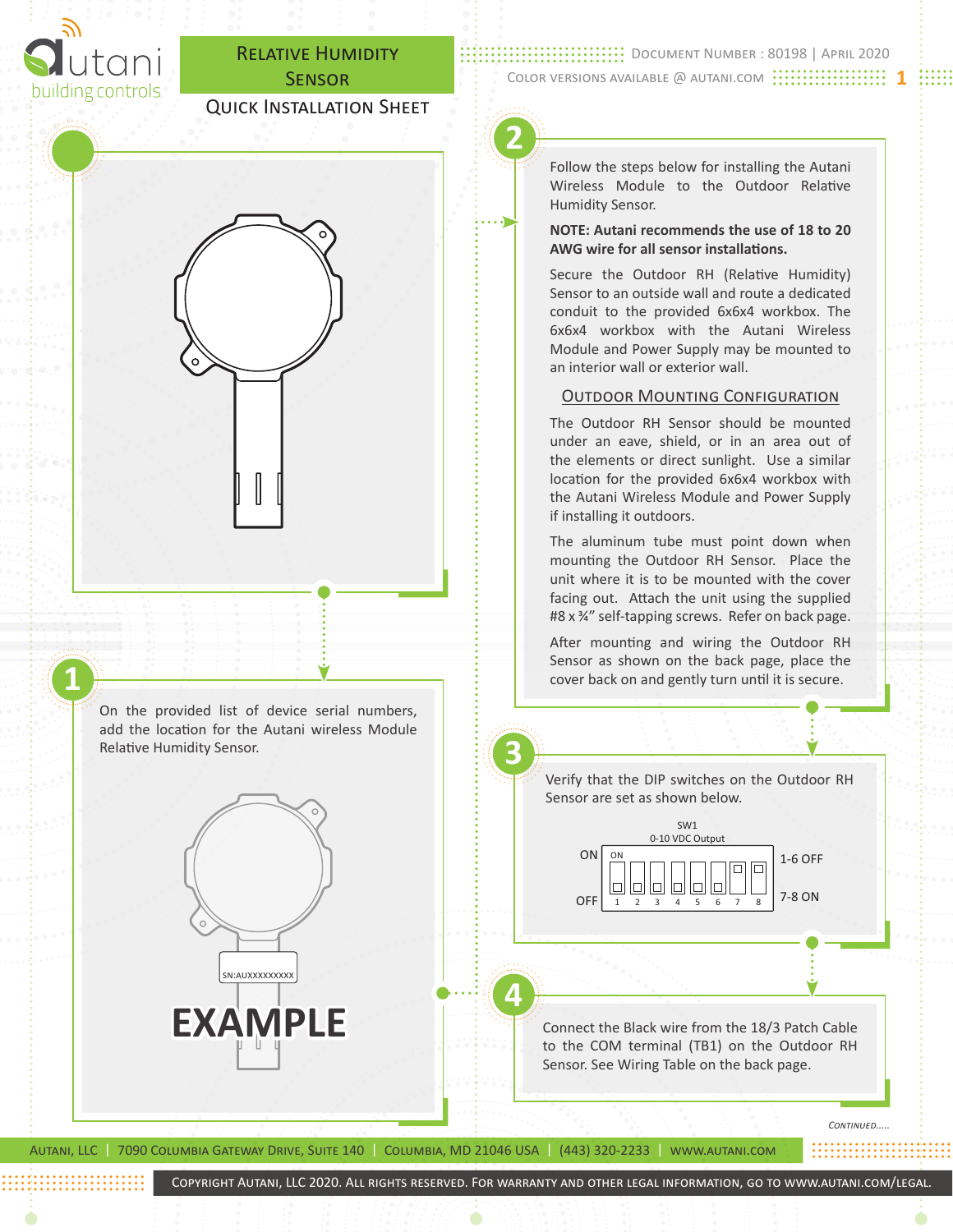

**1**

Relative Humidity Sensor.

## Relative Humidity **SENSOR**

## Quick Installation Sheet

**:...............................** DOCUMENT NUMBER : 80198 | APRIL 2020 Color versions available @ autani.com **1**

# **2**

Follow the steps below for installing the Autani Wireless Module to the Outdoor Relative Humidity Sensor.

#### **NOTE: Autani recommends the use of 18 to 20 AWG wire for all sensor installations.**

Secure the Outdoor RH (Relative Humidity) Sensor to an outside wall and route a dedicated conduit to the provided 6x6x4 workbox. The 6x6x4 workbox with the Autani Wireless Module and Power Supply may be mounted to an interior wall or exterior wall.

#### Outdoor Mounting Configuration

The Outdoor RH Sensor should be mounted under an eave, shield, or in an area out of the elements or direct sunlight. Use a similar location for the provided 6x6x4 workbox with the Autani Wireless Module and Power Supply if installing it outdoors.

The aluminum tube must point down when mounting the Outdoor RH Sensor. Place the unit where it is to be mounted with the cover facing out. Attach the unit using the supplied #8 x ¾" self-tapping screws. Refer on back page.

After mounting and wiring the Outdoor RH Sensor as shown on the back page, place the cover back on and gently turn until it is secure.

On the provided list of device serial numbers, add the location for the Autani wireless Module **3** Verify that the DIP switches on the Outdoor RH Sensor are set as shown below. SW1 0-10 VDC Output ON ON 1-6 OFF  $\Box$  $\Box$  $\Box$ IО IОI  $\Box$ IП 7-8 ON OFF 1 2 3 4 5 6 7 8 **4** EXAMPLE Connect the Black wire from the 18/3 Patch Cable to the COM terminal (TB1) on the Outdoor RH Sensor. See Wiring Table on the back page. *Continued.....*

Autani, LLC | 7090 Columbia Gateway Drive, Suite 140 | Columbia, MD 21046 USA | (443) 320-2233 | www.autani.com

sn:auxxxxxxxxx

Copyright Autani, LLC 2020. All rights reserved. For warranty and other legal information, go to www.autani.com/legal.